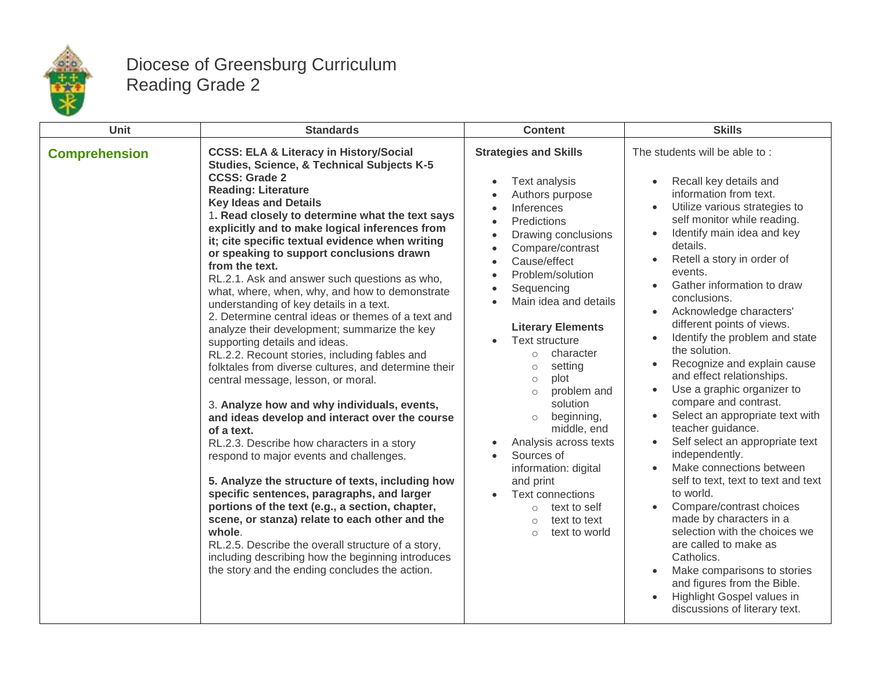

## Diocese of Greensburg Curriculum Reading Grade 2

| Unit                 | <b>Standards</b>                                                                                                                                                                                                                                                                                                                                                                                                                                                                                                                                                                                                                                                                                                                                                                                                                                                                                                                                                                                                                                                                                                                                                                                                                                                                                                                                                                                                                      | <b>Content</b>                                                                                                                                                                                                                                                                                                                                                                                                                                                                                                                                                                                                                                      | <b>Skills</b>                                                                                                                                                                                                                                                                                                                                                                                                                                                                                                                                                                                                                                                                                                                                                                                                                                                                                                                                                                           |
|----------------------|---------------------------------------------------------------------------------------------------------------------------------------------------------------------------------------------------------------------------------------------------------------------------------------------------------------------------------------------------------------------------------------------------------------------------------------------------------------------------------------------------------------------------------------------------------------------------------------------------------------------------------------------------------------------------------------------------------------------------------------------------------------------------------------------------------------------------------------------------------------------------------------------------------------------------------------------------------------------------------------------------------------------------------------------------------------------------------------------------------------------------------------------------------------------------------------------------------------------------------------------------------------------------------------------------------------------------------------------------------------------------------------------------------------------------------------|-----------------------------------------------------------------------------------------------------------------------------------------------------------------------------------------------------------------------------------------------------------------------------------------------------------------------------------------------------------------------------------------------------------------------------------------------------------------------------------------------------------------------------------------------------------------------------------------------------------------------------------------------------|-----------------------------------------------------------------------------------------------------------------------------------------------------------------------------------------------------------------------------------------------------------------------------------------------------------------------------------------------------------------------------------------------------------------------------------------------------------------------------------------------------------------------------------------------------------------------------------------------------------------------------------------------------------------------------------------------------------------------------------------------------------------------------------------------------------------------------------------------------------------------------------------------------------------------------------------------------------------------------------------|
| <b>Comprehension</b> | <b>CCSS: ELA &amp; Literacy in History/Social</b><br>Studies, Science, & Technical Subjects K-5<br><b>CCSS: Grade 2</b><br><b>Reading: Literature</b><br><b>Key Ideas and Details</b><br>1. Read closely to determine what the text says<br>explicitly and to make logical inferences from<br>it; cite specific textual evidence when writing<br>or speaking to support conclusions drawn<br>from the text.<br>RL.2.1. Ask and answer such questions as who,<br>what, where, when, why, and how to demonstrate<br>understanding of key details in a text.<br>2. Determine central ideas or themes of a text and<br>analyze their development; summarize the key<br>supporting details and ideas.<br>RL.2.2. Recount stories, including fables and<br>folktales from diverse cultures, and determine their<br>central message, lesson, or moral.<br>3. Analyze how and why individuals, events,<br>and ideas develop and interact over the course<br>of a text.<br>RL.2.3. Describe how characters in a story<br>respond to major events and challenges.<br>5. Analyze the structure of texts, including how<br>specific sentences, paragraphs, and larger<br>portions of the text (e.g., a section, chapter,<br>scene, or stanza) relate to each other and the<br>whole.<br>RL.2.5. Describe the overall structure of a story,<br>including describing how the beginning introduces<br>the story and the ending concludes the action. | <b>Strategies and Skills</b><br>Text analysis<br>Authors purpose<br>Inferences<br>$\bullet$<br>Predictions<br>Drawing conclusions<br>Compare/contrast<br>Cause/effect<br>Problem/solution<br>$\bullet$<br>Sequencing<br>$\bullet$<br>Main idea and details<br><b>Literary Elements</b><br><b>Text structure</b><br>character<br>$\circ$<br>setting<br>$\circ$<br>plot<br>$\circ$<br>problem and<br>$\bigcirc$<br>solution<br>beginning,<br>$\circ$<br>middle, end<br>Analysis across texts<br>Sources of<br>information: digital<br>and print<br>Text connections<br>text to self<br>$\circ$<br>text to text<br>$\circ$<br>text to world<br>$\circ$ | The students will be able to:<br>Recall key details and<br>information from text.<br>Utilize various strategies to<br>self monitor while reading.<br>Identify main idea and key<br>details.<br>Retell a story in order of<br>events.<br>Gather information to draw<br>conclusions.<br>Acknowledge characters'<br>different points of views.<br>Identify the problem and state<br>the solution.<br>Recognize and explain cause<br>and effect relationships.<br>Use a graphic organizer to<br>compare and contrast.<br>Select an appropriate text with<br>teacher guidance.<br>Self select an appropriate text<br>independently.<br>Make connections between<br>self to text, text to text and text<br>to world.<br>Compare/contrast choices<br>made by characters in a<br>selection with the choices we<br>are called to make as<br>Catholics.<br>Make comparisons to stories<br>and figures from the Bible.<br>Highlight Gospel values in<br>$\bullet$<br>discussions of literary text. |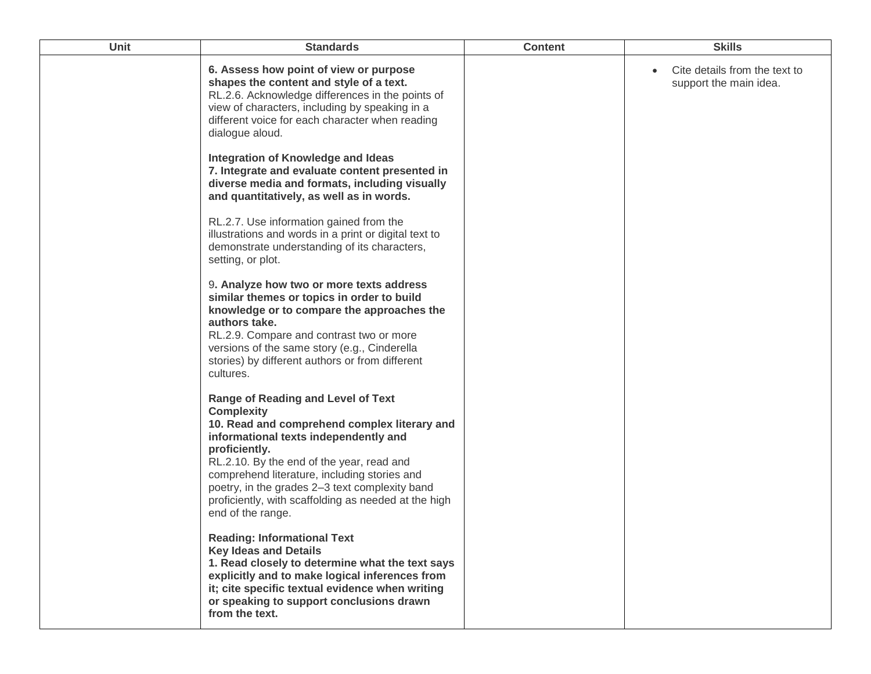| Unit | <b>Standards</b>                                                                                                                                                                                                                                                                                                                                                                                     | <b>Content</b> | <b>Skills</b>                                           |
|------|------------------------------------------------------------------------------------------------------------------------------------------------------------------------------------------------------------------------------------------------------------------------------------------------------------------------------------------------------------------------------------------------------|----------------|---------------------------------------------------------|
|      | 6. Assess how point of view or purpose<br>shapes the content and style of a text.<br>RL.2.6. Acknowledge differences in the points of<br>view of characters, including by speaking in a<br>different voice for each character when reading<br>dialogue aloud.                                                                                                                                        |                | Cite details from the text to<br>support the main idea. |
|      | Integration of Knowledge and Ideas<br>7. Integrate and evaluate content presented in<br>diverse media and formats, including visually<br>and quantitatively, as well as in words.                                                                                                                                                                                                                    |                |                                                         |
|      | RL.2.7. Use information gained from the<br>illustrations and words in a print or digital text to<br>demonstrate understanding of its characters,<br>setting, or plot.                                                                                                                                                                                                                                |                |                                                         |
|      | 9. Analyze how two or more texts address<br>similar themes or topics in order to build<br>knowledge or to compare the approaches the<br>authors take.<br>RL.2.9. Compare and contrast two or more<br>versions of the same story (e.g., Cinderella<br>stories) by different authors or from different<br>cultures.                                                                                    |                |                                                         |
|      | <b>Range of Reading and Level of Text</b><br><b>Complexity</b><br>10. Read and comprehend complex literary and<br>informational texts independently and<br>proficiently.<br>RL.2.10. By the end of the year, read and<br>comprehend literature, including stories and<br>poetry, in the grades 2-3 text complexity band<br>proficiently, with scaffolding as needed at the high<br>end of the range. |                |                                                         |
|      | <b>Reading: Informational Text</b><br><b>Key Ideas and Details</b><br>1. Read closely to determine what the text says<br>explicitly and to make logical inferences from<br>it; cite specific textual evidence when writing<br>or speaking to support conclusions drawn<br>from the text.                                                                                                             |                |                                                         |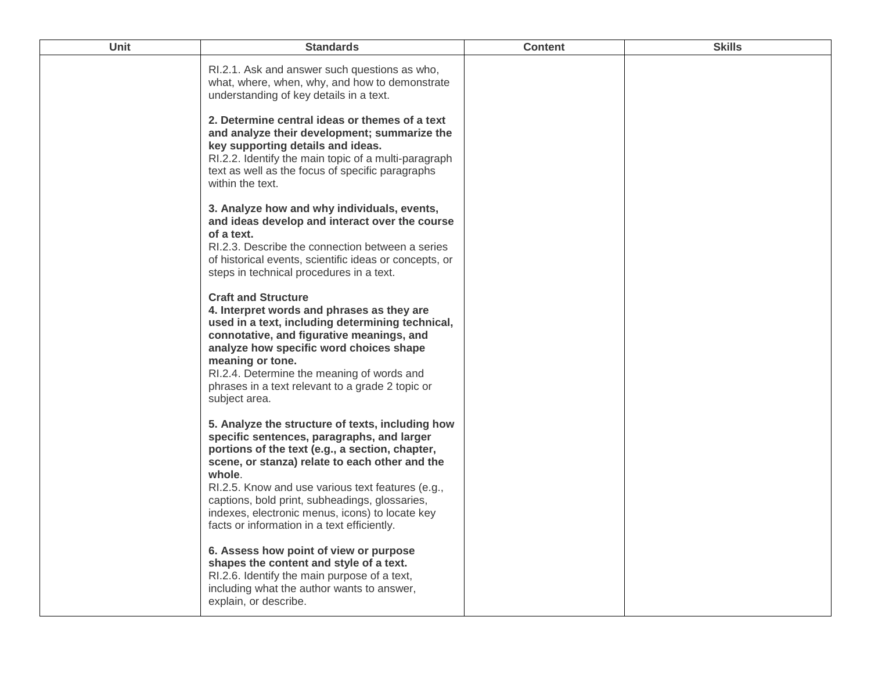| <b>Unit</b> | <b>Standards</b>                                                                                                                                                                                                                                                                                                                                                                                                       | <b>Content</b> | <b>Skills</b> |
|-------------|------------------------------------------------------------------------------------------------------------------------------------------------------------------------------------------------------------------------------------------------------------------------------------------------------------------------------------------------------------------------------------------------------------------------|----------------|---------------|
|             | RI.2.1. Ask and answer such questions as who,<br>what, where, when, why, and how to demonstrate<br>understanding of key details in a text.                                                                                                                                                                                                                                                                             |                |               |
|             | 2. Determine central ideas or themes of a text<br>and analyze their development; summarize the<br>key supporting details and ideas.<br>RI.2.2. Identify the main topic of a multi-paragraph<br>text as well as the focus of specific paragraphs<br>within the text.                                                                                                                                                    |                |               |
|             | 3. Analyze how and why individuals, events,<br>and ideas develop and interact over the course<br>of a text.<br>RI.2.3. Describe the connection between a series<br>of historical events, scientific ideas or concepts, or<br>steps in technical procedures in a text.                                                                                                                                                  |                |               |
|             | <b>Craft and Structure</b><br>4. Interpret words and phrases as they are<br>used in a text, including determining technical,<br>connotative, and figurative meanings, and<br>analyze how specific word choices shape<br>meaning or tone.<br>RI.2.4. Determine the meaning of words and<br>phrases in a text relevant to a grade 2 topic or<br>subject area.                                                            |                |               |
|             | 5. Analyze the structure of texts, including how<br>specific sentences, paragraphs, and larger<br>portions of the text (e.g., a section, chapter,<br>scene, or stanza) relate to each other and the<br>whole.<br>RI.2.5. Know and use various text features (e.g.,<br>captions, bold print, subheadings, glossaries,<br>indexes, electronic menus, icons) to locate key<br>facts or information in a text efficiently. |                |               |
|             | 6. Assess how point of view or purpose<br>shapes the content and style of a text.<br>RI.2.6. Identify the main purpose of a text,<br>including what the author wants to answer,<br>explain, or describe.                                                                                                                                                                                                               |                |               |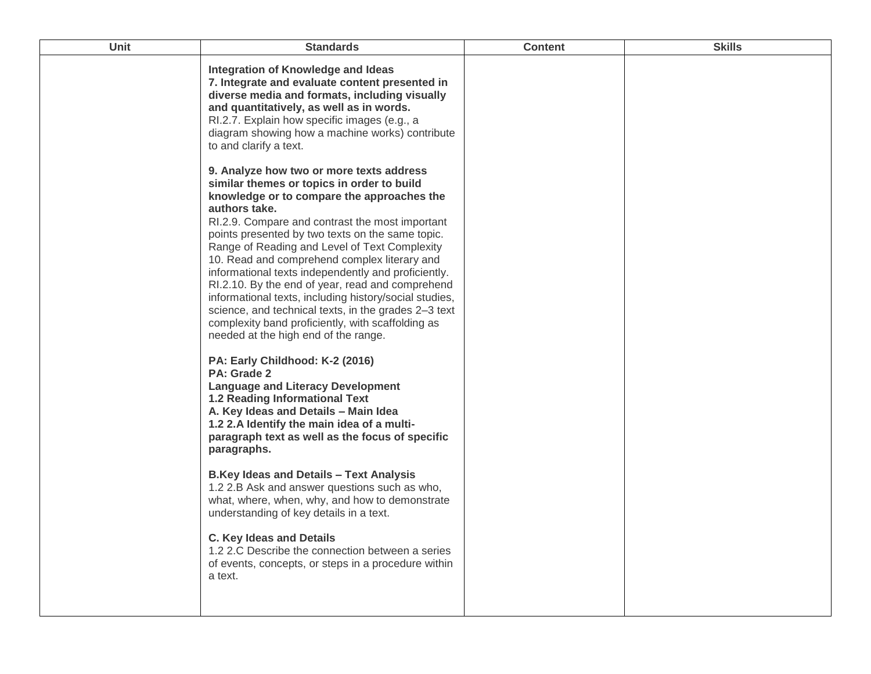| Unit | <b>Standards</b>                                                                                                                                                                                                                                                                                                                                                                                                                                                                                                                                                                                                                                                                                                                                                                                                                                                                                                                                                                                                                                                                                                                                                                                                                                                              | <b>Content</b> | <b>Skills</b> |
|------|-------------------------------------------------------------------------------------------------------------------------------------------------------------------------------------------------------------------------------------------------------------------------------------------------------------------------------------------------------------------------------------------------------------------------------------------------------------------------------------------------------------------------------------------------------------------------------------------------------------------------------------------------------------------------------------------------------------------------------------------------------------------------------------------------------------------------------------------------------------------------------------------------------------------------------------------------------------------------------------------------------------------------------------------------------------------------------------------------------------------------------------------------------------------------------------------------------------------------------------------------------------------------------|----------------|---------------|
|      | Integration of Knowledge and Ideas<br>7. Integrate and evaluate content presented in<br>diverse media and formats, including visually<br>and quantitatively, as well as in words.<br>RI.2.7. Explain how specific images (e.g., a<br>diagram showing how a machine works) contribute<br>to and clarify a text.                                                                                                                                                                                                                                                                                                                                                                                                                                                                                                                                                                                                                                                                                                                                                                                                                                                                                                                                                                |                |               |
|      | 9. Analyze how two or more texts address<br>similar themes or topics in order to build<br>knowledge or to compare the approaches the<br>authors take.<br>RI.2.9. Compare and contrast the most important<br>points presented by two texts on the same topic.<br>Range of Reading and Level of Text Complexity<br>10. Read and comprehend complex literary and<br>informational texts independently and proficiently.<br>RI.2.10. By the end of year, read and comprehend<br>informational texts, including history/social studies,<br>science, and technical texts, in the grades 2-3 text<br>complexity band proficiently, with scaffolding as<br>needed at the high end of the range.<br>PA: Early Childhood: K-2 (2016)<br>PA: Grade 2<br><b>Language and Literacy Development</b><br><b>1.2 Reading Informational Text</b><br>A. Key Ideas and Details - Main Idea<br>1.2 2.A Identify the main idea of a multi-<br>paragraph text as well as the focus of specific<br>paragraphs.<br><b>B.Key Ideas and Details - Text Analysis</b><br>1.2 2.B Ask and answer questions such as who,<br>what, where, when, why, and how to demonstrate<br>understanding of key details in a text.<br><b>C. Key Ideas and Details</b><br>1.2 2.C Describe the connection between a series |                |               |
|      | of events, concepts, or steps in a procedure within<br>a text.                                                                                                                                                                                                                                                                                                                                                                                                                                                                                                                                                                                                                                                                                                                                                                                                                                                                                                                                                                                                                                                                                                                                                                                                                |                |               |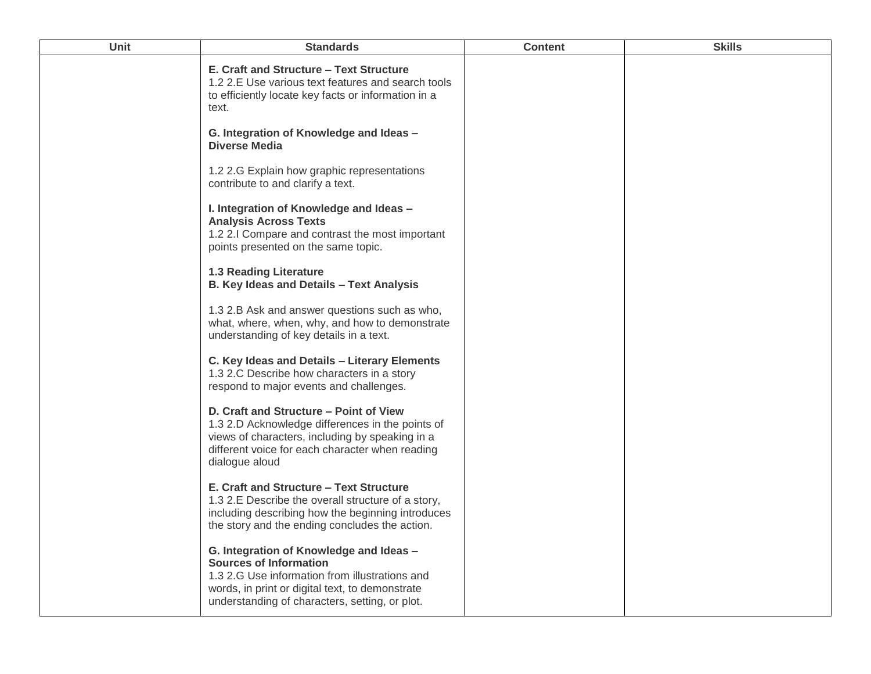| <b>Unit</b> | <b>Standards</b>                                                                                                                                                                                                                | <b>Content</b> | <b>Skills</b> |
|-------------|---------------------------------------------------------------------------------------------------------------------------------------------------------------------------------------------------------------------------------|----------------|---------------|
|             | E. Craft and Structure - Text Structure<br>1.2 2.E Use various text features and search tools<br>to efficiently locate key facts or information in a<br>text.                                                                   |                |               |
|             | G. Integration of Knowledge and Ideas -<br><b>Diverse Media</b>                                                                                                                                                                 |                |               |
|             | 1.2 2.G Explain how graphic representations<br>contribute to and clarify a text.                                                                                                                                                |                |               |
|             | I. Integration of Knowledge and Ideas -<br><b>Analysis Across Texts</b><br>1.2 2.1 Compare and contrast the most important<br>points presented on the same topic.                                                               |                |               |
|             | <b>1.3 Reading Literature</b><br>B. Key Ideas and Details - Text Analysis                                                                                                                                                       |                |               |
|             | 1.3 2.B Ask and answer questions such as who,<br>what, where, when, why, and how to demonstrate<br>understanding of key details in a text.                                                                                      |                |               |
|             | C. Key Ideas and Details - Literary Elements<br>1.3 2.C Describe how characters in a story<br>respond to major events and challenges.                                                                                           |                |               |
|             | D. Craft and Structure - Point of View<br>1.3 2.D Acknowledge differences in the points of<br>views of characters, including by speaking in a<br>different voice for each character when reading<br>dialogue aloud              |                |               |
|             | E. Craft and Structure - Text Structure<br>1.3 2.E Describe the overall structure of a story,<br>including describing how the beginning introduces<br>the story and the ending concludes the action.                            |                |               |
|             | G. Integration of Knowledge and Ideas -<br><b>Sources of Information</b><br>1.3 2.G Use information from illustrations and<br>words, in print or digital text, to demonstrate<br>understanding of characters, setting, or plot. |                |               |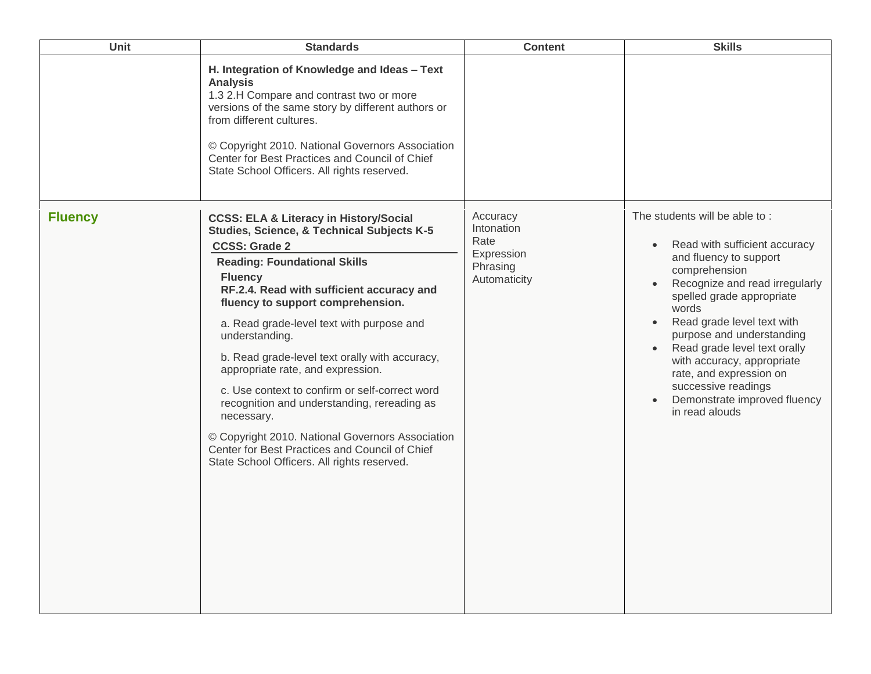| Unit           | <b>Standards</b>                                                                                                                                                                                                                                                                                                                                                                                                                                                                                                                                                                                                                                                                             | <b>Content</b>                                                           | <b>Skills</b>                                                                                                                                                                                                                                                                                                                                                                                                                                         |
|----------------|----------------------------------------------------------------------------------------------------------------------------------------------------------------------------------------------------------------------------------------------------------------------------------------------------------------------------------------------------------------------------------------------------------------------------------------------------------------------------------------------------------------------------------------------------------------------------------------------------------------------------------------------------------------------------------------------|--------------------------------------------------------------------------|-------------------------------------------------------------------------------------------------------------------------------------------------------------------------------------------------------------------------------------------------------------------------------------------------------------------------------------------------------------------------------------------------------------------------------------------------------|
|                | H. Integration of Knowledge and Ideas - Text<br><b>Analysis</b><br>1.3 2.H Compare and contrast two or more<br>versions of the same story by different authors or<br>from different cultures.<br>© Copyright 2010. National Governors Association<br>Center for Best Practices and Council of Chief<br>State School Officers. All rights reserved.                                                                                                                                                                                                                                                                                                                                           |                                                                          |                                                                                                                                                                                                                                                                                                                                                                                                                                                       |
| <b>Fluency</b> | <b>CCSS: ELA &amp; Literacy in History/Social</b><br>Studies, Science, & Technical Subjects K-5<br><b>CCSS: Grade 2</b><br><b>Reading: Foundational Skills</b><br><b>Fluency</b><br>RF.2.4. Read with sufficient accuracy and<br>fluency to support comprehension.<br>a. Read grade-level text with purpose and<br>understanding.<br>b. Read grade-level text orally with accuracy,<br>appropriate rate, and expression.<br>c. Use context to confirm or self-correct word<br>recognition and understanding, rereading as<br>necessary.<br>© Copyright 2010. National Governors Association<br>Center for Best Practices and Council of Chief<br>State School Officers. All rights reserved. | Accuracy<br>Intonation<br>Rate<br>Expression<br>Phrasing<br>Automaticity | The students will be able to:<br>Read with sufficient accuracy<br>$\bullet$<br>and fluency to support<br>comprehension<br>Recognize and read irregularly<br>spelled grade appropriate<br>words<br>Read grade level text with<br>$\bullet$<br>purpose and understanding<br>Read grade level text orally<br>$\bullet$<br>with accuracy, appropriate<br>rate, and expression on<br>successive readings<br>Demonstrate improved fluency<br>in read alouds |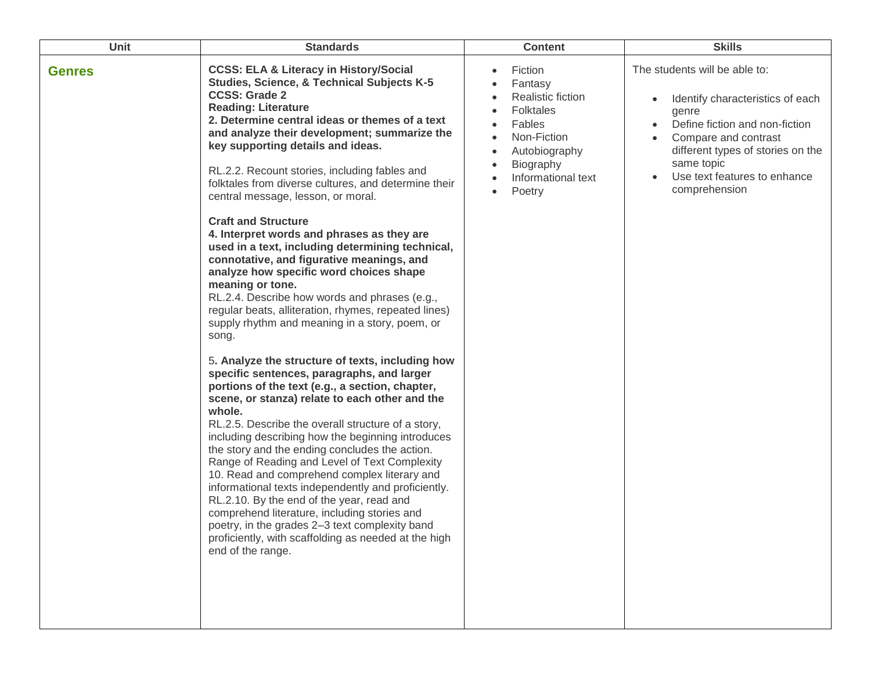| <b>Unit</b>   | <b>Standards</b>                                                                                                                                                                                                                                                                                                                                                                                                                                                                                                                                                                                                                                                                                                                                                                                                                                                                                                                                                                                                                                                                                                                                                                                                                                                                                                                                                                                                                                                                                                                                                                                                                         | <b>Content</b>                                                                                                                                            | <b>Skills</b>                                                                                                                                                                                                                            |
|---------------|------------------------------------------------------------------------------------------------------------------------------------------------------------------------------------------------------------------------------------------------------------------------------------------------------------------------------------------------------------------------------------------------------------------------------------------------------------------------------------------------------------------------------------------------------------------------------------------------------------------------------------------------------------------------------------------------------------------------------------------------------------------------------------------------------------------------------------------------------------------------------------------------------------------------------------------------------------------------------------------------------------------------------------------------------------------------------------------------------------------------------------------------------------------------------------------------------------------------------------------------------------------------------------------------------------------------------------------------------------------------------------------------------------------------------------------------------------------------------------------------------------------------------------------------------------------------------------------------------------------------------------------|-----------------------------------------------------------------------------------------------------------------------------------------------------------|------------------------------------------------------------------------------------------------------------------------------------------------------------------------------------------------------------------------------------------|
| <b>Genres</b> | <b>CCSS: ELA &amp; Literacy in History/Social</b><br><b>Studies, Science, &amp; Technical Subjects K-5</b><br><b>CCSS: Grade 2</b><br><b>Reading: Literature</b><br>2. Determine central ideas or themes of a text<br>and analyze their development; summarize the<br>key supporting details and ideas.<br>RL.2.2. Recount stories, including fables and<br>folktales from diverse cultures, and determine their<br>central message, lesson, or moral.<br><b>Craft and Structure</b><br>4. Interpret words and phrases as they are<br>used in a text, including determining technical,<br>connotative, and figurative meanings, and<br>analyze how specific word choices shape<br>meaning or tone.<br>RL.2.4. Describe how words and phrases (e.g.,<br>regular beats, alliteration, rhymes, repeated lines)<br>supply rhythm and meaning in a story, poem, or<br>song.<br>5. Analyze the structure of texts, including how<br>specific sentences, paragraphs, and larger<br>portions of the text (e.g., a section, chapter,<br>scene, or stanza) relate to each other and the<br>whole.<br>RL.2.5. Describe the overall structure of a story,<br>including describing how the beginning introduces<br>the story and the ending concludes the action.<br>Range of Reading and Level of Text Complexity<br>10. Read and comprehend complex literary and<br>informational texts independently and proficiently.<br>RL.2.10. By the end of the year, read and<br>comprehend literature, including stories and<br>poetry, in the grades 2-3 text complexity band<br>proficiently, with scaffolding as needed at the high<br>end of the range. | Fiction<br>Fantasy<br><b>Realistic fiction</b><br><b>Folktales</b><br>Fables<br>Non-Fiction<br>Autobiography<br>Biography<br>Informational text<br>Poetry | The students will be able to:<br>Identify characteristics of each<br>genre<br>Define fiction and non-fiction<br>Compare and contrast<br>different types of stories on the<br>same topic<br>Use text features to enhance<br>comprehension |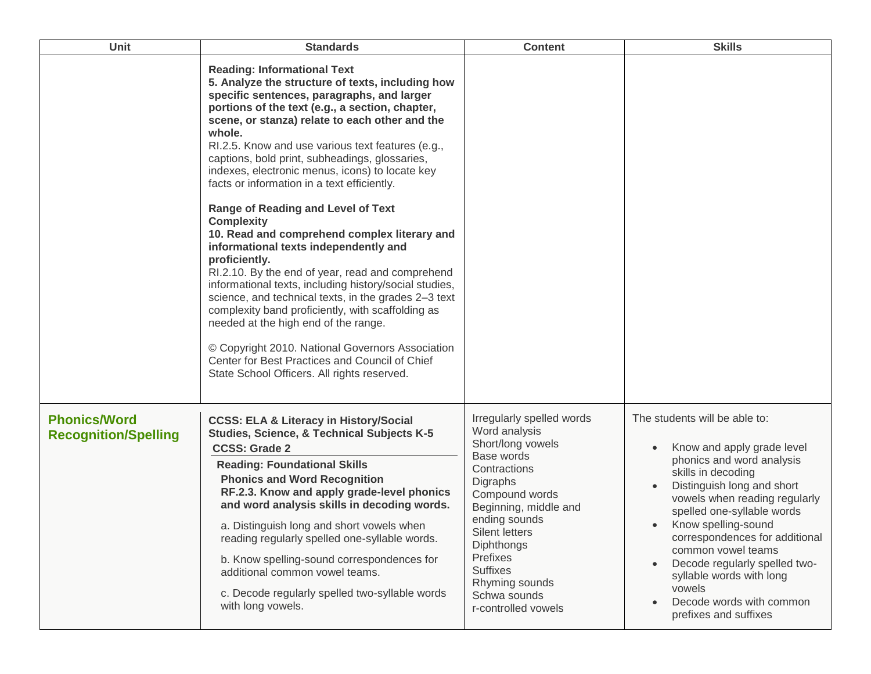| Unit                                               | <b>Standards</b>                                                                                                                                                                                                                                                                                                                                                                                                                                                                                                                                                                                                                                                                                                                                                                                                                                                                                                                                                                                                                                                 | <b>Content</b>                                                                                                                                                                                                                                                                                       | <b>Skills</b>                                                                                                                                                                                                                                                                                                                                                                                                          |
|----------------------------------------------------|------------------------------------------------------------------------------------------------------------------------------------------------------------------------------------------------------------------------------------------------------------------------------------------------------------------------------------------------------------------------------------------------------------------------------------------------------------------------------------------------------------------------------------------------------------------------------------------------------------------------------------------------------------------------------------------------------------------------------------------------------------------------------------------------------------------------------------------------------------------------------------------------------------------------------------------------------------------------------------------------------------------------------------------------------------------|------------------------------------------------------------------------------------------------------------------------------------------------------------------------------------------------------------------------------------------------------------------------------------------------------|------------------------------------------------------------------------------------------------------------------------------------------------------------------------------------------------------------------------------------------------------------------------------------------------------------------------------------------------------------------------------------------------------------------------|
|                                                    | <b>Reading: Informational Text</b><br>5. Analyze the structure of texts, including how<br>specific sentences, paragraphs, and larger<br>portions of the text (e.g., a section, chapter,<br>scene, or stanza) relate to each other and the<br>whole.<br>RI.2.5. Know and use various text features (e.g.,<br>captions, bold print, subheadings, glossaries,<br>indexes, electronic menus, icons) to locate key<br>facts or information in a text efficiently.<br><b>Range of Reading and Level of Text</b><br><b>Complexity</b><br>10. Read and comprehend complex literary and<br>informational texts independently and<br>proficiently.<br>RI.2.10. By the end of year, read and comprehend<br>informational texts, including history/social studies,<br>science, and technical texts, in the grades 2-3 text<br>complexity band proficiently, with scaffolding as<br>needed at the high end of the range.<br>© Copyright 2010. National Governors Association<br>Center for Best Practices and Council of Chief<br>State School Officers. All rights reserved. |                                                                                                                                                                                                                                                                                                      |                                                                                                                                                                                                                                                                                                                                                                                                                        |
| <b>Phonics/Word</b><br><b>Recognition/Spelling</b> | <b>CCSS: ELA &amp; Literacy in History/Social</b><br><b>Studies, Science, &amp; Technical Subjects K-5</b><br><b>CCSS: Grade 2</b><br><b>Reading: Foundational Skills</b><br><b>Phonics and Word Recognition</b><br>RF.2.3. Know and apply grade-level phonics<br>and word analysis skills in decoding words.<br>a. Distinguish long and short vowels when<br>reading regularly spelled one-syllable words.<br>b. Know spelling-sound correspondences for<br>additional common vowel teams.<br>c. Decode regularly spelled two-syllable words<br>with long vowels.                                                                                                                                                                                                                                                                                                                                                                                                                                                                                               | Irregularly spelled words<br>Word analysis<br>Short/long vowels<br>Base words<br>Contractions<br>Digraphs<br>Compound words<br>Beginning, middle and<br>ending sounds<br>Silent letters<br><b>Diphthongs</b><br>Prefixes<br><b>Suffixes</b><br>Rhyming sounds<br>Schwa sounds<br>r-controlled vowels | The students will be able to:<br>Know and apply grade level<br>phonics and word analysis<br>skills in decoding<br>Distinguish long and short<br>vowels when reading regularly<br>spelled one-syllable words<br>Know spelling-sound<br>correspondences for additional<br>common vowel teams<br>Decode regularly spelled two-<br>syllable words with long<br>vowels<br>Decode words with common<br>prefixes and suffixes |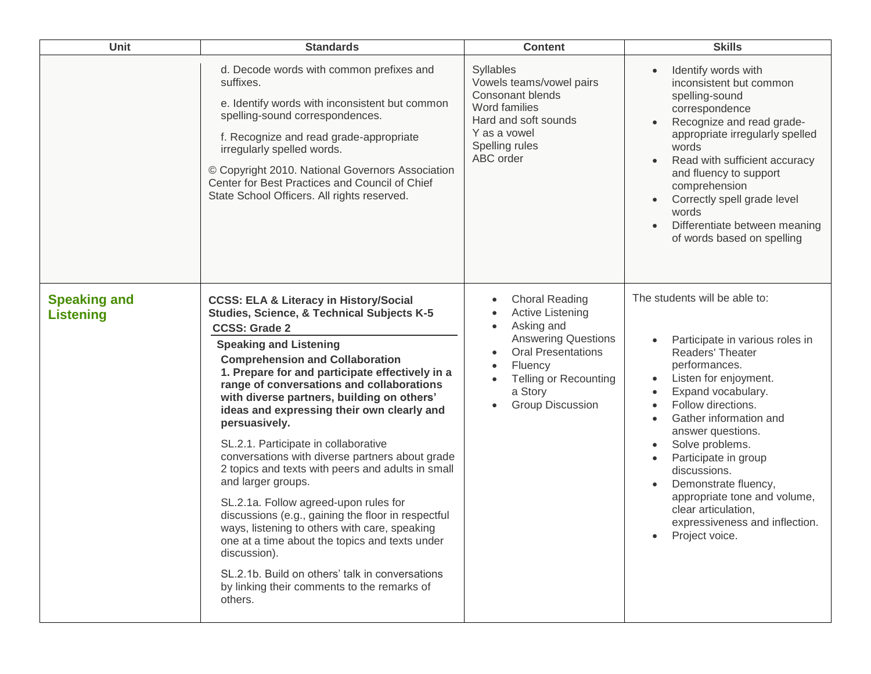| Unit                                    | <b>Standards</b>                                                                                                                                                                                                                                                                                                                                                                                                                                                                                                                                                                                                                                                                                                                                                                                                                                                                                                     | <b>Content</b>                                                                                                                                                                                                                                                                           | <b>Skills</b>                                                                                                                                                                                                                                                                                                                                                                                                                                                               |
|-----------------------------------------|----------------------------------------------------------------------------------------------------------------------------------------------------------------------------------------------------------------------------------------------------------------------------------------------------------------------------------------------------------------------------------------------------------------------------------------------------------------------------------------------------------------------------------------------------------------------------------------------------------------------------------------------------------------------------------------------------------------------------------------------------------------------------------------------------------------------------------------------------------------------------------------------------------------------|------------------------------------------------------------------------------------------------------------------------------------------------------------------------------------------------------------------------------------------------------------------------------------------|-----------------------------------------------------------------------------------------------------------------------------------------------------------------------------------------------------------------------------------------------------------------------------------------------------------------------------------------------------------------------------------------------------------------------------------------------------------------------------|
|                                         | d. Decode words with common prefixes and<br>suffixes.<br>e. Identify words with inconsistent but common<br>spelling-sound correspondences.<br>f. Recognize and read grade-appropriate<br>irregularly spelled words.<br>© Copyright 2010. National Governors Association<br>Center for Best Practices and Council of Chief<br>State School Officers. All rights reserved.                                                                                                                                                                                                                                                                                                                                                                                                                                                                                                                                             | Syllables<br>Vowels teams/vowel pairs<br><b>Consonant blends</b><br>Word families<br>Hard and soft sounds<br>Y as a vowel<br>Spelling rules<br>ABC order                                                                                                                                 | Identify words with<br>inconsistent but common<br>spelling-sound<br>correspondence<br>Recognize and read grade-<br>appropriate irregularly spelled<br>words<br>Read with sufficient accuracy<br>$\bullet$<br>and fluency to support<br>comprehension<br>Correctly spell grade level<br>words<br>Differentiate between meaning<br>of words based on spelling                                                                                                                 |
| <b>Speaking and</b><br><b>Listening</b> | <b>CCSS: ELA &amp; Literacy in History/Social</b><br>Studies, Science, & Technical Subjects K-5<br><b>CCSS: Grade 2</b><br><b>Speaking and Listening</b><br><b>Comprehension and Collaboration</b><br>1. Prepare for and participate effectively in a<br>range of conversations and collaborations<br>with diverse partners, building on others'<br>ideas and expressing their own clearly and<br>persuasively.<br>SL.2.1. Participate in collaborative<br>conversations with diverse partners about grade<br>2 topics and texts with peers and adults in small<br>and larger groups.<br>SL.2.1a. Follow agreed-upon rules for<br>discussions (e.g., gaining the floor in respectful<br>ways, listening to others with care, speaking<br>one at a time about the topics and texts under<br>discussion).<br>SL.2.1b. Build on others' talk in conversations<br>by linking their comments to the remarks of<br>others. | <b>Choral Reading</b><br>$\bullet$<br><b>Active Listening</b><br>$\bullet$<br>Asking and<br>$\bullet$<br><b>Answering Questions</b><br><b>Oral Presentations</b><br>$\bullet$<br>Fluency<br>$\bullet$<br><b>Telling or Recounting</b><br>$\bullet$<br>a Story<br><b>Group Discussion</b> | The students will be able to:<br>Participate in various roles in<br>Readers' Theater<br>performances.<br>Listen for enjoyment.<br>$\bullet$<br>Expand vocabulary.<br>Follow directions.<br>Gather information and<br>$\bullet$<br>answer questions.<br>Solve problems.<br>$\bullet$<br>Participate in group<br>$\bullet$<br>discussions.<br>Demonstrate fluency,<br>appropriate tone and volume,<br>clear articulation,<br>expressiveness and inflection.<br>Project voice. |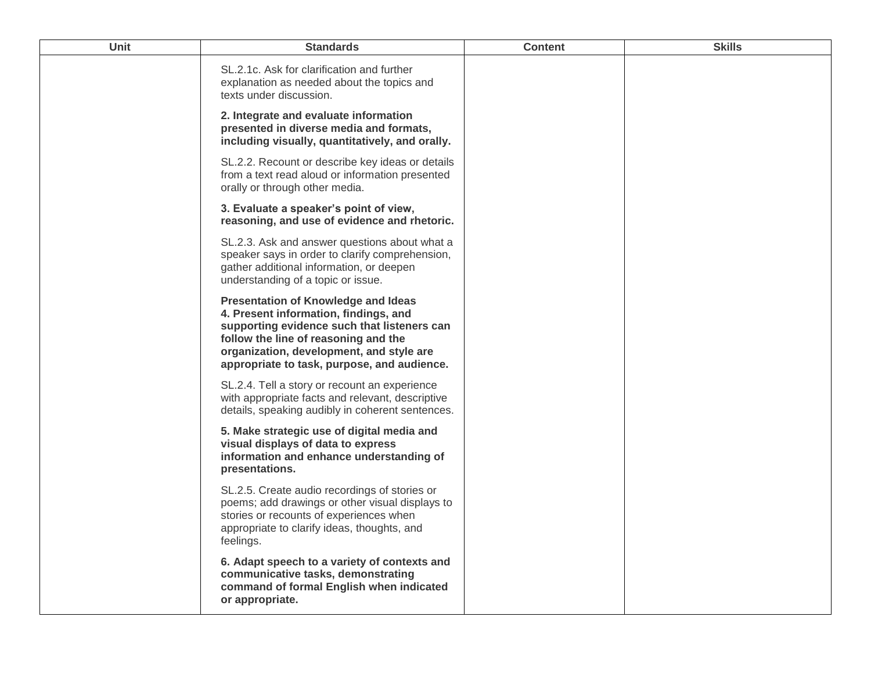| Unit | <b>Standards</b>                                                                                                                                                                                                                                                      | <b>Content</b> | <b>Skills</b> |
|------|-----------------------------------------------------------------------------------------------------------------------------------------------------------------------------------------------------------------------------------------------------------------------|----------------|---------------|
|      | SL.2.1c. Ask for clarification and further<br>explanation as needed about the topics and<br>texts under discussion.                                                                                                                                                   |                |               |
|      | 2. Integrate and evaluate information<br>presented in diverse media and formats,<br>including visually, quantitatively, and orally.                                                                                                                                   |                |               |
|      | SL.2.2. Recount or describe key ideas or details<br>from a text read aloud or information presented<br>orally or through other media.                                                                                                                                 |                |               |
|      | 3. Evaluate a speaker's point of view,<br>reasoning, and use of evidence and rhetoric.                                                                                                                                                                                |                |               |
|      | SL.2.3. Ask and answer questions about what a<br>speaker says in order to clarify comprehension,<br>gather additional information, or deepen<br>understanding of a topic or issue.                                                                                    |                |               |
|      | <b>Presentation of Knowledge and Ideas</b><br>4. Present information, findings, and<br>supporting evidence such that listeners can<br>follow the line of reasoning and the<br>organization, development, and style are<br>appropriate to task, purpose, and audience. |                |               |
|      | SL.2.4. Tell a story or recount an experience<br>with appropriate facts and relevant, descriptive<br>details, speaking audibly in coherent sentences.                                                                                                                 |                |               |
|      | 5. Make strategic use of digital media and<br>visual displays of data to express<br>information and enhance understanding of<br>presentations.                                                                                                                        |                |               |
|      | SL.2.5. Create audio recordings of stories or<br>poems; add drawings or other visual displays to<br>stories or recounts of experiences when<br>appropriate to clarify ideas, thoughts, and<br>feelings.                                                               |                |               |
|      | 6. Adapt speech to a variety of contexts and<br>communicative tasks, demonstrating<br>command of formal English when indicated<br>or appropriate.                                                                                                                     |                |               |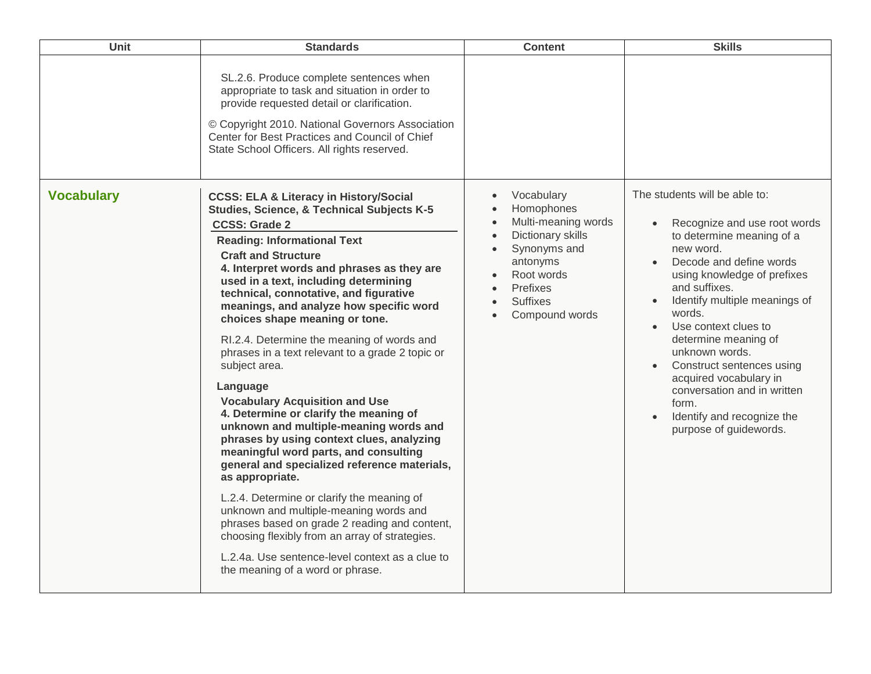| Unit              | <b>Standards</b>                                                                                                                                                                                                                                                                                                                                                                                                                                                                                                                                                                                                                                                                                                                                                                                                                                                                                                                                                                                                                                                                                                            | <b>Content</b>                                                                                                                                                                                         | <b>Skills</b>                                                                                                                                                                                                                                                                                                                                                                                                                                          |
|-------------------|-----------------------------------------------------------------------------------------------------------------------------------------------------------------------------------------------------------------------------------------------------------------------------------------------------------------------------------------------------------------------------------------------------------------------------------------------------------------------------------------------------------------------------------------------------------------------------------------------------------------------------------------------------------------------------------------------------------------------------------------------------------------------------------------------------------------------------------------------------------------------------------------------------------------------------------------------------------------------------------------------------------------------------------------------------------------------------------------------------------------------------|--------------------------------------------------------------------------------------------------------------------------------------------------------------------------------------------------------|--------------------------------------------------------------------------------------------------------------------------------------------------------------------------------------------------------------------------------------------------------------------------------------------------------------------------------------------------------------------------------------------------------------------------------------------------------|
|                   | SL.2.6. Produce complete sentences when<br>appropriate to task and situation in order to<br>provide requested detail or clarification.<br>© Copyright 2010. National Governors Association<br>Center for Best Practices and Council of Chief<br>State School Officers. All rights reserved.                                                                                                                                                                                                                                                                                                                                                                                                                                                                                                                                                                                                                                                                                                                                                                                                                                 |                                                                                                                                                                                                        |                                                                                                                                                                                                                                                                                                                                                                                                                                                        |
| <b>Vocabulary</b> | <b>CCSS: ELA &amp; Literacy in History/Social</b><br><b>Studies, Science, &amp; Technical Subjects K-5</b><br><b>CCSS: Grade 2</b><br><b>Reading: Informational Text</b><br><b>Craft and Structure</b><br>4. Interpret words and phrases as they are<br>used in a text, including determining<br>technical, connotative, and figurative<br>meanings, and analyze how specific word<br>choices shape meaning or tone.<br>RI.2.4. Determine the meaning of words and<br>phrases in a text relevant to a grade 2 topic or<br>subject area.<br>Language<br><b>Vocabulary Acquisition and Use</b><br>4. Determine or clarify the meaning of<br>unknown and multiple-meaning words and<br>phrases by using context clues, analyzing<br>meaningful word parts, and consulting<br>general and specialized reference materials,<br>as appropriate.<br>L.2.4. Determine or clarify the meaning of<br>unknown and multiple-meaning words and<br>phrases based on grade 2 reading and content,<br>choosing flexibly from an array of strategies.<br>L.2.4a. Use sentence-level context as a clue to<br>the meaning of a word or phrase. | Vocabulary<br>Homophones<br>Multi-meaning words<br>$\bullet$<br>Dictionary skills<br>$\bullet$<br>Synonyms and<br>antonyms<br>Root words<br>Prefixes<br>$\bullet$<br><b>Suffixes</b><br>Compound words | The students will be able to:<br>Recognize and use root words<br>to determine meaning of a<br>new word.<br>Decode and define words<br>using knowledge of prefixes<br>and suffixes.<br>Identify multiple meanings of<br>words.<br>Use context clues to<br>determine meaning of<br>unknown words.<br>Construct sentences using<br>acquired vocabulary in<br>conversation and in written<br>form.<br>Identify and recognize the<br>purpose of guidewords. |